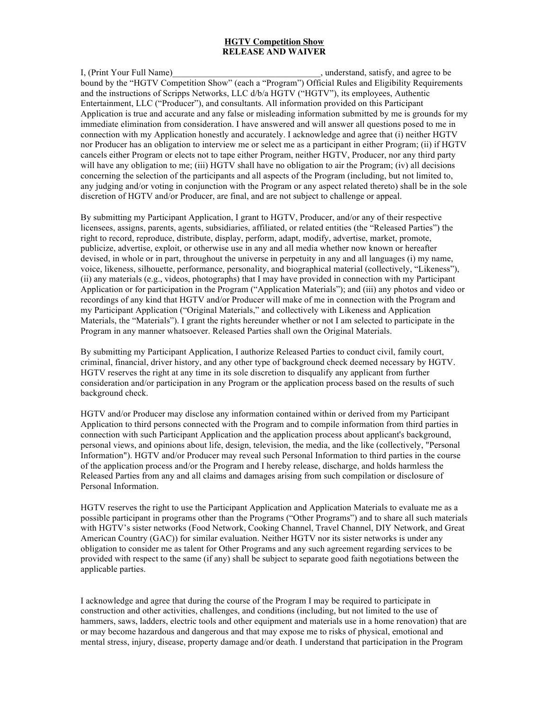## **HGTV Competition Show RELEASE AND WAIVER**

I, (Print Your Full Name) and the satisfy, and agree to be seen as a set of the satisfy, and agree to be seen as  $\frac{1}{2}$ , understand, satisfy, and agree to be bound by the "HGTV Competition Show" (each a "Program") Official Rules and Eligibility Requirements and the instructions of Scripps Networks, LLC d/b/a HGTV ("HGTV"), its employees, Authentic Entertainment, LLC ("Producer"), and consultants. All information provided on this Participant Application is true and accurate and any false or misleading information submitted by me is grounds for my immediate elimination from consideration. I have answered and will answer all questions posed to me in connection with my Application honestly and accurately. I acknowledge and agree that (i) neither HGTV nor Producer has an obligation to interview me or select me as a participant in either Program; (ii) if HGTV cancels either Program or elects not to tape either Program, neither HGTV, Producer, nor any third party will have any obligation to me; (iii) HGTV shall have no obligation to air the Program; (iv) all decisions concerning the selection of the participants and all aspects of the Program (including, but not limited to, any judging and/or voting in conjunction with the Program or any aspect related thereto) shall be in the sole discretion of HGTV and/or Producer, are final, and are not subject to challenge or appeal.

By submitting my Participant Application, I grant to HGTV, Producer, and/or any of their respective licensees, assigns, parents, agents, subsidiaries, affiliated, or related entities (the "Released Parties") the right to record, reproduce, distribute, display, perform, adapt, modify, advertise, market, promote, publicize, advertise, exploit, or otherwise use in any and all media whether now known or hereafter devised, in whole or in part, throughout the universe in perpetuity in any and all languages (i) my name, voice, likeness, silhouette, performance, personality, and biographical material (collectively, "Likeness"), (ii) any materials (e.g., videos, photographs) that I may have provided in connection with my Participant Application or for participation in the Program ("Application Materials"); and (iii) any photos and video or recordings of any kind that HGTV and/or Producer will make of me in connection with the Program and my Participant Application ("Original Materials," and collectively with Likeness and Application Materials, the "Materials"). I grant the rights hereunder whether or not I am selected to participate in the Program in any manner whatsoever. Released Parties shall own the Original Materials.

By submitting my Participant Application, I authorize Released Parties to conduct civil, family court, criminal, financial, driver history, and any other type of background check deemed necessary by HGTV. HGTV reserves the right at any time in its sole discretion to disqualify any applicant from further consideration and/or participation in any Program or the application process based on the results of such background check.

HGTV and/or Producer may disclose any information contained within or derived from my Participant Application to third persons connected with the Program and to compile information from third parties in connection with such Participant Application and the application process about applicant's background, personal views, and opinions about life, design, television, the media, and the like (collectively, "Personal Information"). HGTV and/or Producer may reveal such Personal Information to third parties in the course of the application process and/or the Program and I hereby release, discharge, and holds harmless the Released Parties from any and all claims and damages arising from such compilation or disclosure of Personal Information.

HGTV reserves the right to use the Participant Application and Application Materials to evaluate me as a possible participant in programs other than the Programs ("Other Programs") and to share all such materials with HGTV's sister networks (Food Network, Cooking Channel, Travel Channel, DIY Network, and Great American Country (GAC)) for similar evaluation. Neither HGTV nor its sister networks is under any obligation to consider me as talent for Other Programs and any such agreement regarding services to be provided with respect to the same (if any) shall be subject to separate good faith negotiations between the applicable parties.

I acknowledge and agree that during the course of the Program I may be required to participate in construction and other activities, challenges, and conditions (including, but not limited to the use of hammers, saws, ladders, electric tools and other equipment and materials use in a home renovation) that are or may become hazardous and dangerous and that may expose me to risks of physical, emotional and mental stress, injury, disease, property damage and/or death. I understand that participation in the Program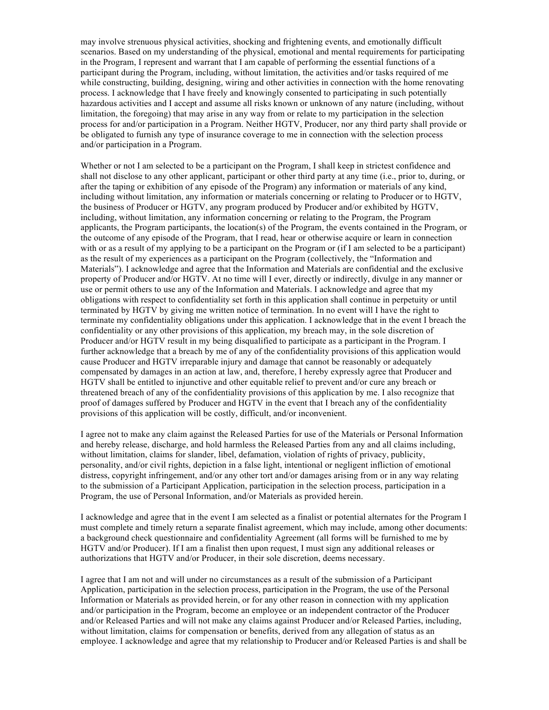may involve strenuous physical activities, shocking and frightening events, and emotionally difficult scenarios. Based on my understanding of the physical, emotional and mental requirements for participating in the Program, I represent and warrant that I am capable of performing the essential functions of a participant during the Program, including, without limitation, the activities and/or tasks required of me while constructing, building, designing, wiring and other activities in connection with the home renovating process. I acknowledge that I have freely and knowingly consented to participating in such potentially hazardous activities and I accept and assume all risks known or unknown of any nature (including, without limitation, the foregoing) that may arise in any way from or relate to my participation in the selection process for and/or participation in a Program. Neither HGTV, Producer, nor any third party shall provide or be obligated to furnish any type of insurance coverage to me in connection with the selection process and/or participation in a Program.

Whether or not I am selected to be a participant on the Program. I shall keep in strictest confidence and shall not disclose to any other applicant, participant or other third party at any time (i.e., prior to, during, or after the taping or exhibition of any episode of the Program) any information or materials of any kind, including without limitation, any information or materials concerning or relating to Producer or to HGTV, the business of Producer or HGTV, any program produced by Producer and/or exhibited by HGTV, including, without limitation, any information concerning or relating to the Program, the Program applicants, the Program participants, the location(s) of the Program, the events contained in the Program, or the outcome of any episode of the Program, that I read, hear or otherwise acquire or learn in connection with or as a result of my applying to be a participant on the Program or (if I am selected to be a participant) as the result of my experiences as a participant on the Program (collectively, the "Information and Materials"). I acknowledge and agree that the Information and Materials are confidential and the exclusive property of Producer and/or HGTV. At no time will I ever, directly or indirectly, divulge in any manner or use or permit others to use any of the Information and Materials. I acknowledge and agree that my obligations with respect to confidentiality set forth in this application shall continue in perpetuity or until terminated by HGTV by giving me written notice of termination. In no event will I have the right to terminate my confidentiality obligations under this application. I acknowledge that in the event I breach the confidentiality or any other provisions of this application, my breach may, in the sole discretion of Producer and/or HGTV result in my being disqualified to participate as a participant in the Program. I further acknowledge that a breach by me of any of the confidentiality provisions of this application would cause Producer and HGTV irreparable injury and damage that cannot be reasonably or adequately compensated by damages in an action at law, and, therefore, I hereby expressly agree that Producer and HGTV shall be entitled to injunctive and other equitable relief to prevent and/or cure any breach or threatened breach of any of the confidentiality provisions of this application by me. I also recognize that proof of damages suffered by Producer and HGTV in the event that I breach any of the confidentiality provisions of this application will be costly, difficult, and/or inconvenient.

I agree not to make any claim against the Released Parties for use of the Materials or Personal Information and hereby release, discharge, and hold harmless the Released Parties from any and all claims including, without limitation, claims for slander, libel, defamation, violation of rights of privacy, publicity, personality, and/or civil rights, depiction in a false light, intentional or negligent infliction of emotional distress, copyright infringement, and/or any other tort and/or damages arising from or in any way relating to the submission of a Participant Application, participation in the selection process, participation in a Program, the use of Personal Information, and/or Materials as provided herein.

I acknowledge and agree that in the event I am selected as a finalist or potential alternates for the Program I must complete and timely return a separate finalist agreement, which may include, among other documents: a background check questionnaire and confidentiality Agreement (all forms will be furnished to me by HGTV and/or Producer). If I am a finalist then upon request, I must sign any additional releases or authorizations that HGTV and/or Producer, in their sole discretion, deems necessary.

I agree that I am not and will under no circumstances as a result of the submission of a Participant Application, participation in the selection process, participation in the Program, the use of the Personal Information or Materials as provided herein, or for any other reason in connection with my application and/or participation in the Program, become an employee or an independent contractor of the Producer and/or Released Parties and will not make any claims against Producer and/or Released Parties, including, without limitation, claims for compensation or benefits, derived from any allegation of status as an employee. I acknowledge and agree that my relationship to Producer and/or Released Parties is and shall be